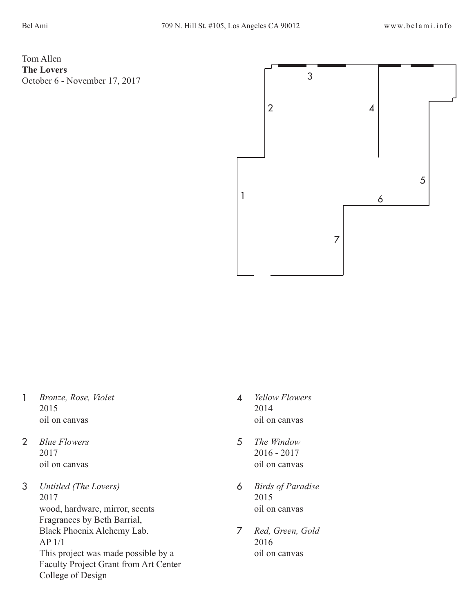Tom Allen **The Lovers** October 6 - November 17, 2017



- *Bronze, Rose, Violet* 2015 oil on canvas 1
- *Blue Flowers* 2017 oil on canvas 2
- *Untitled (The Lovers)* 2017 wood, hardware, mirror, scents Fragrances by Beth Barrial, Black Phoenix Alchemy Lab. AP 1/1 This project was made possible by a Faculty Project Grant from Art Center College of Design 3
- 4 *Yellow Flowers* 2014 oil on canvas
- 5 *The Window* 2016 - 2017 oil on canvas
- 6 *Birds of Paradise* 2015 oil on canvas
- 7 *Red, Green, Gold* 2016 oil on canvas